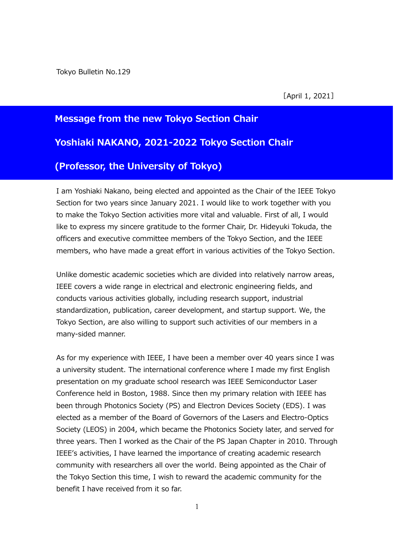Tokyo Bulletin No.129

[April 1, 2021]

## **Message from the new Tokyo Section Chair Yoshiaki NAKANO, 2021-2022 Tokyo Section Chair (Professor, the University of Tokyo)**

I am Yoshiaki Nakano, being elected and appointed as the Chair of the IEEE Tokyo Section for two years since January 2021. I would like to work together with you to make the Tokyo Section activities more vital and valuable. First of all, I would like to express my sincere gratitude to the former Chair, Dr. Hideyuki Tokuda, the officers and executive committee members of the Tokyo Section, and the IEEE members, who have made a great effort in various activities of the Tokyo Section.

Unlike domestic academic societies which are divided into relatively narrow areas, IEEE covers a wide range in electrical and electronic engineering fields, and conducts various activities globally, including research support, industrial standardization, publication, career development, and startup support. We, the Tokyo Section, are also willing to support such activities of our members in a many-sided manner.

As for my experience with IEEE, I have been a member over 40 years since I was a university student. The international conference where I made my first English presentation on my graduate school research was IEEE Semiconductor Laser Conference held in Boston, 1988. Since then my primary relation with IEEE has been through Photonics Society (PS) and Electron Devices Society (EDS). I was elected as a member of the Board of Governors of the Lasers and Electro-Optics Society (LEOS) in 2004, which became the Photonics Society later, and served for three years. Then I worked as the Chair of the PS Japan Chapter in 2010. Through IEEE's activities, I have learned the importance of creating academic research community with researchers all over the world. Being appointed as the Chair of the Tokyo Section this time, I wish to reward the academic community for the benefit I have received from it so far.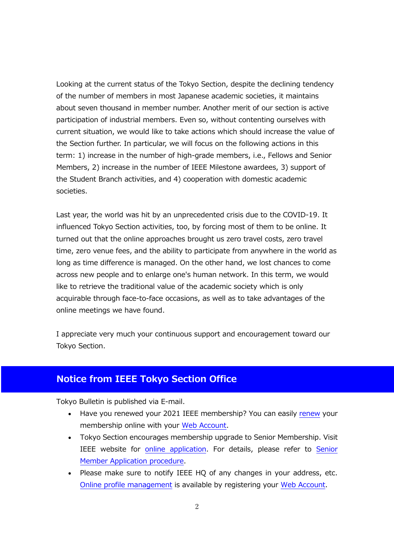Looking at the current status of the Tokyo Section, despite the declining tendency of the number of members in most Japanese academic societies, it maintains about seven thousand in member number. Another merit of our section is active participation of industrial members. Even so, without contenting ourselves with current situation, we would like to take actions which should increase the value of the Section further. In particular, we will focus on the following actions in this term: 1) increase in the number of high-grade members, i.e., Fellows and Senior Members, 2) increase in the number of IEEE Milestone awardees, 3) support of the Student Branch activities, and 4) cooperation with domestic academic societies.

Last year, the world was hit by an unprecedented crisis due to the COVID-19. It influenced Tokyo Section activities, too, by forcing most of them to be online. It turned out that the online approaches brought us zero travel costs, zero travel time, zero venue fees, and the ability to participate from anywhere in the world as long as time difference is managed. On the other hand, we lost chances to come across new people and to enlarge one's human network. In this term, we would like to retrieve the traditional value of the academic society which is only acquirable through face-to-face occasions, as well as to take advantages of the online meetings we have found.

I appreciate very much your continuous support and encouragement toward our Tokyo Section.

## **Notice from IEEE Tokyo Section Office**

Tokyo Bulletin is published via E-mail.

- Have you renewed your 2021 IEEE membership? You can easily [renew](https://www.ieee.org/membership/renew.html) your membership online with your [Web Account.](https://www.ieee.org/profile/public/createwebaccount/showCreateAccount.html?url=)
- Tokyo Section encourages membership upgrade to Senior Membership. Visit IEEE website for [online application.](https://www.ieee.org/membership_services/membership/senior/application/index.html) For details, please refer to [Senior](https://www.ieee.org/membership/senior/deadlines.html)  [Member Application procedure.](https://www.ieee.org/membership/senior/deadlines.html)
- Please make sure to notify IEEE HQ of any changes in your address, etc. [Online profile](https://www.ieee.org/profile/public/login/publiclogin.html) management is available by registering your [Web Account.](https://www.ieee.org/profile/public/createwebaccount/showCreateAccount.html?url=)